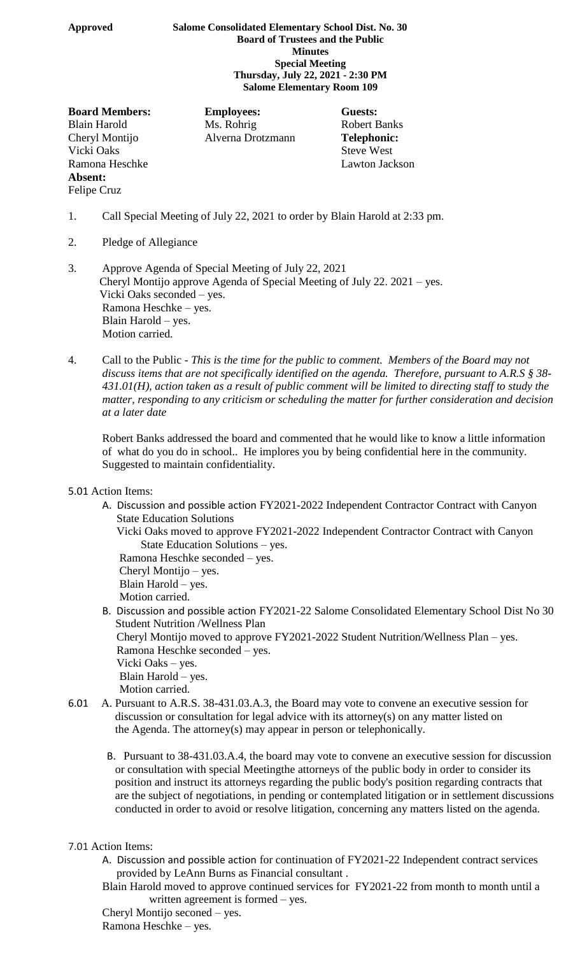## **Approved Salome Consolidated Elementary School Dist. No. 30 Board of Trustees and the Public Minutes Special Meeting Thursday, July 22, 2021 - 2:30 PM Salome Elementary Room 109**

**Board Members: Employees: Guests:** Vicki Oaks Steve West Ramona Heschke Lawton Jackson **Absent:** Felipe Cruz

Blain Harold Ms. Rohrig Robert Banks Cheryl Montijo Alverna Drotzmann **Telephonic:**

- 1. Call Special Meeting of July 22, 2021 to order by Blain Harold at 2:33 pm.
- 2. Pledge of Allegiance
- 3. Approve Agenda of Special Meeting of July 22, 2021 Cheryl Montijo approve Agenda of Special Meeting of July 22. 2021 – yes. Vicki Oaks seconded – yes. Ramona Heschke – yes. Blain Harold – yes. Motion carried.
- 4. Call to the Public *This is the time for the public to comment. Members of the Board may not discuss items that are not specifically identified on the agenda. Therefore, pursuant to A.R.S § 38- 431.01(H), action taken as a result of public comment will be limited to directing staff to study the matter, responding to any criticism or scheduling the matter for further consideration and decision at a later date*

Robert Banks addressed the board and commented that he would like to know a little information of what do you do in school.. He implores you by being confidential here in the community. Suggested to maintain confidentiality.

- 5.01 Action Items:
	- A. Discussion and possible action FY2021-2022 Independent Contractor Contract with Canyon State Education Solutions
		- Vicki Oaks moved to approve FY2021-2022 Independent Contractor Contract with Canyon State Education Solutions – yes.

Ramona Heschke seconded – yes.

Cheryl Montijo – yes.

Blain Harold – yes.

- Motion carried.
- B. Discussion and possible action FY2021-22 Salome Consolidated Elementary School Dist No 30 Student Nutrition /Wellness Plan
	- Cheryl Montijo moved to approve FY2021-2022 Student Nutrition/Wellness Plan yes. Ramona Heschke seconded – yes.
	- Vicki Oaks yes. Blain Harold – yes.
	- Motion carried.
- 6.01 A. Pursuant to A.R.S. 38-431.03.A.3, the Board may vote to convene an executive session for discussion or consultation for legal advice with its attorney(s) on any matter listed on the Agenda. The attorney(s) may appear in person or telephonically.
	- B. Pursuant to 38-431.03.A.4, the board may vote to convene an executive session for discussion or consultation with special Meetingthe attorneys of the public body in order to consider its position and instruct its attorneys regarding the public body's position regarding contracts that are the subject of negotiations, in pending or contemplated litigation or in settlement discussions conducted in order to avoid or resolve litigation, concerning any matters listed on the agenda.

## 7.01 Action Items:

- A. Discussion and possible action for continuation of FY2021-22 Independent contract services provided by LeAnn Burns as Financial consultant .
- Blain Harold moved to approve continued services for FY2021-22 from month to month until a written agreement is formed – yes.

Cheryl Montijo seconed – yes. Ramona Heschke – yes.